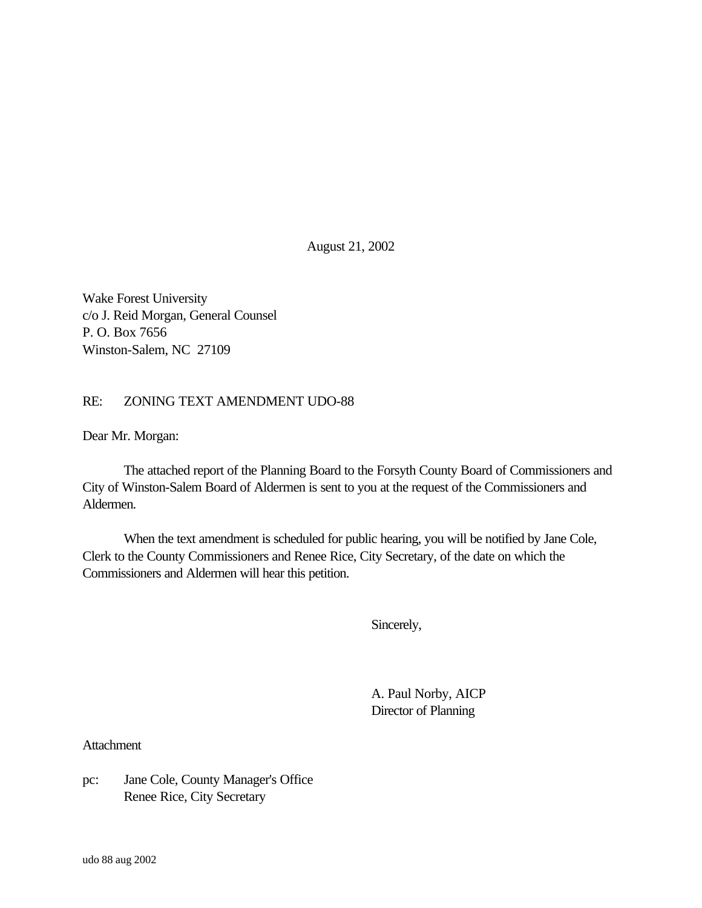August 21, 2002

Wake Forest University c/o J. Reid Morgan, General Counsel P. O. Box 7656 Winston-Salem, NC 27109

## RE: ZONING TEXT AMENDMENT UDO-88

Dear Mr. Morgan:

The attached report of the Planning Board to the Forsyth County Board of Commissioners and City of Winston-Salem Board of Aldermen is sent to you at the request of the Commissioners and Aldermen.

When the text amendment is scheduled for public hearing, you will be notified by Jane Cole, Clerk to the County Commissioners and Renee Rice, City Secretary, of the date on which the Commissioners and Aldermen will hear this petition.

Sincerely,

A. Paul Norby, AICP Director of Planning

**Attachment** 

pc: Jane Cole, County Manager's Office Renee Rice, City Secretary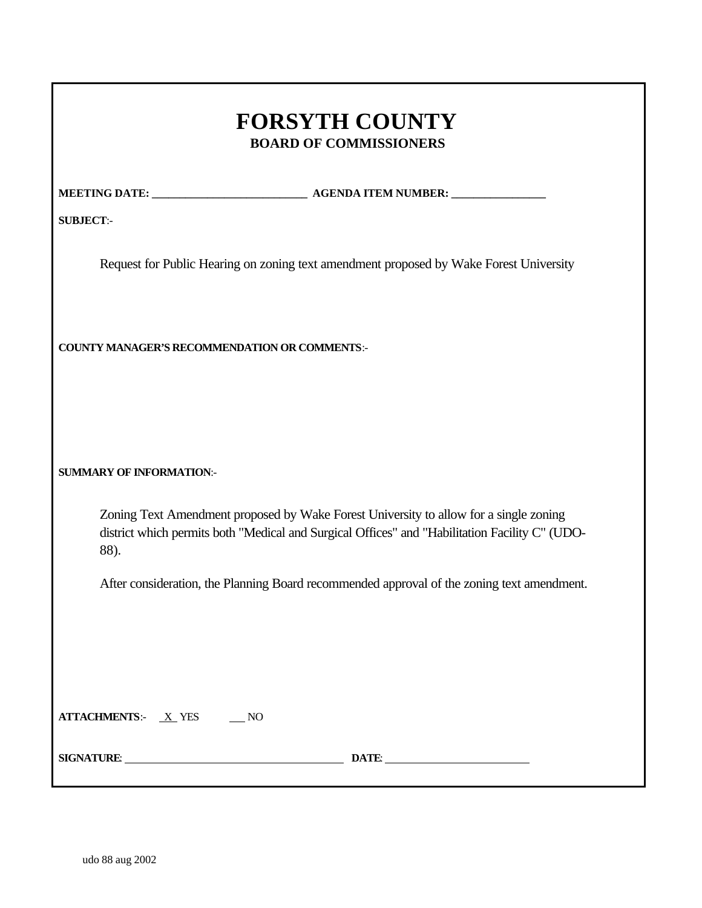# **FORSYTH COUNTY BOARD OF COMMISSIONERS**

**MEETING DATE: \_\_\_\_\_\_\_\_\_\_\_\_\_\_\_\_\_\_\_\_\_\_\_\_\_\_\_\_ AGENDA ITEM NUMBER: \_\_\_\_\_\_\_\_\_\_\_\_\_\_\_\_\_**

**SUBJECT**:-

Request for Public Hearing on zoning text amendment proposed by Wake Forest University

**COUNTY MANAGER'S RECOMMENDATION OR COMMENTS**:-

**SUMMARY OF INFORMATION**:-

Zoning Text Amendment proposed by Wake Forest University to allow for a single zoning district which permits both "Medical and Surgical Offices" and "Habilitation Facility C" (UDO-88).

After consideration, the Planning Board recommended approval of the zoning text amendment.

**ATTACHMENTS:** <u>X</u> YES NO

**SIGNATURE**: **DATE**: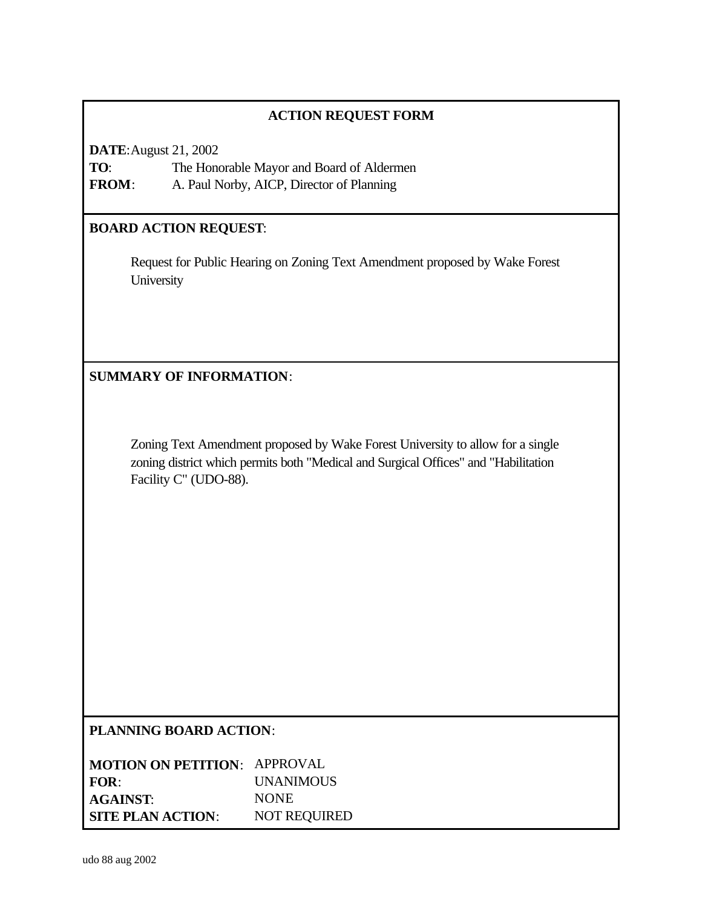## **ACTION REQUEST FORM**

**DATE**:August 21, 2002 **TO**: The Honorable Mayor and Board of Aldermen **FROM**: A. Paul Norby, AICP, Director of Planning

## **BOARD ACTION REQUEST**:

Request for Public Hearing on Zoning Text Amendment proposed by Wake Forest **University** 

**SUMMARY OF INFORMATION**:

Zoning Text Amendment proposed by Wake Forest University to allow for a single zoning district which permits both "Medical and Surgical Offices" and "Habilitation Facility C" (UDO-88).

## **PLANNING BOARD ACTION**:

| <b>MOTION ON PETITION: APPROVAL</b> |                     |
|-------------------------------------|---------------------|
| FOR:                                | <b>UNANIMOUS</b>    |
| <b>AGAINST:</b>                     | <b>NONE</b>         |
| <b>SITE PLAN ACTION:</b>            | <b>NOT REQUIRED</b> |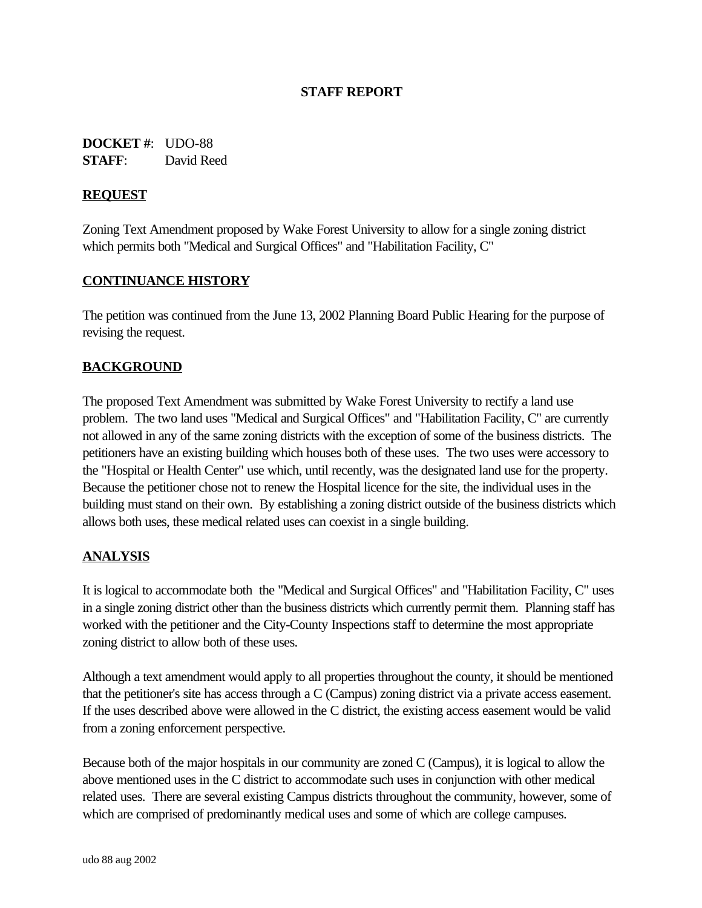## **STAFF REPORT**

**DOCKET #**: UDO-88 **STAFF**: David Reed

## **REQUEST**

Zoning Text Amendment proposed by Wake Forest University to allow for a single zoning district which permits both "Medical and Surgical Offices" and "Habilitation Facility, C"

#### **CONTINUANCE HISTORY**

The petition was continued from the June 13, 2002 Planning Board Public Hearing for the purpose of revising the request.

## **BACKGROUND**

The proposed Text Amendment was submitted by Wake Forest University to rectify a land use problem. The two land uses "Medical and Surgical Offices" and "Habilitation Facility, C" are currently not allowed in any of the same zoning districts with the exception of some of the business districts. The petitioners have an existing building which houses both of these uses. The two uses were accessory to the "Hospital or Health Center" use which, until recently, was the designated land use for the property. Because the petitioner chose not to renew the Hospital licence for the site, the individual uses in the building must stand on their own. By establishing a zoning district outside of the business districts which allows both uses, these medical related uses can coexist in a single building.

#### **ANALYSIS**

It is logical to accommodate both the "Medical and Surgical Offices" and "Habilitation Facility, C" uses in a single zoning district other than the business districts which currently permit them. Planning staff has worked with the petitioner and the City-County Inspections staff to determine the most appropriate zoning district to allow both of these uses.

Although a text amendment would apply to all properties throughout the county, it should be mentioned that the petitioner's site has access through a C (Campus) zoning district via a private access easement. If the uses described above were allowed in the C district, the existing access easement would be valid from a zoning enforcement perspective.

Because both of the major hospitals in our community are zoned C (Campus), it is logical to allow the above mentioned uses in the C district to accommodate such uses in conjunction with other medical related uses. There are several existing Campus districts throughout the community, however, some of which are comprised of predominantly medical uses and some of which are college campuses.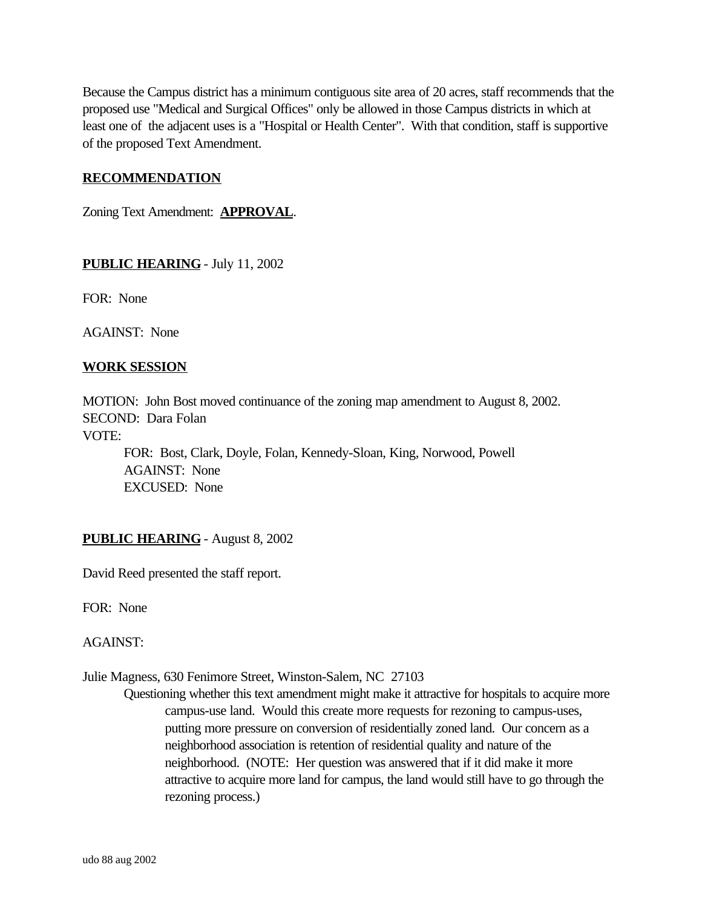Because the Campus district has a minimum contiguous site area of 20 acres, staff recommends that the proposed use "Medical and Surgical Offices" only be allowed in those Campus districts in which at least one of the adjacent uses is a "Hospital or Health Center". With that condition, staff is supportive of the proposed Text Amendment.

#### **RECOMMENDATION**

Zoning Text Amendment: **APPROVAL**.

#### **PUBLIC HEARING** - July 11, 2002

FOR: None

AGAINST: None

#### **WORK SESSION**

MOTION: John Bost moved continuance of the zoning map amendment to August 8, 2002. SECOND: Dara Folan VOTE:

FOR: Bost, Clark, Doyle, Folan, Kennedy-Sloan, King, Norwood, Powell AGAINST: None EXCUSED: None

**PUBLIC HEARING** - August 8, 2002

David Reed presented the staff report.

FOR: None

AGAINST:

Julie Magness, 630 Fenimore Street, Winston-Salem, NC 27103

Questioning whether this text amendment might make it attractive for hospitals to acquire more campus-use land. Would this create more requests for rezoning to campus-uses, putting more pressure on conversion of residentially zoned land. Our concern as a neighborhood association is retention of residential quality and nature of the neighborhood. (NOTE: Her question was answered that if it did make it more attractive to acquire more land for campus, the land would still have to go through the rezoning process.)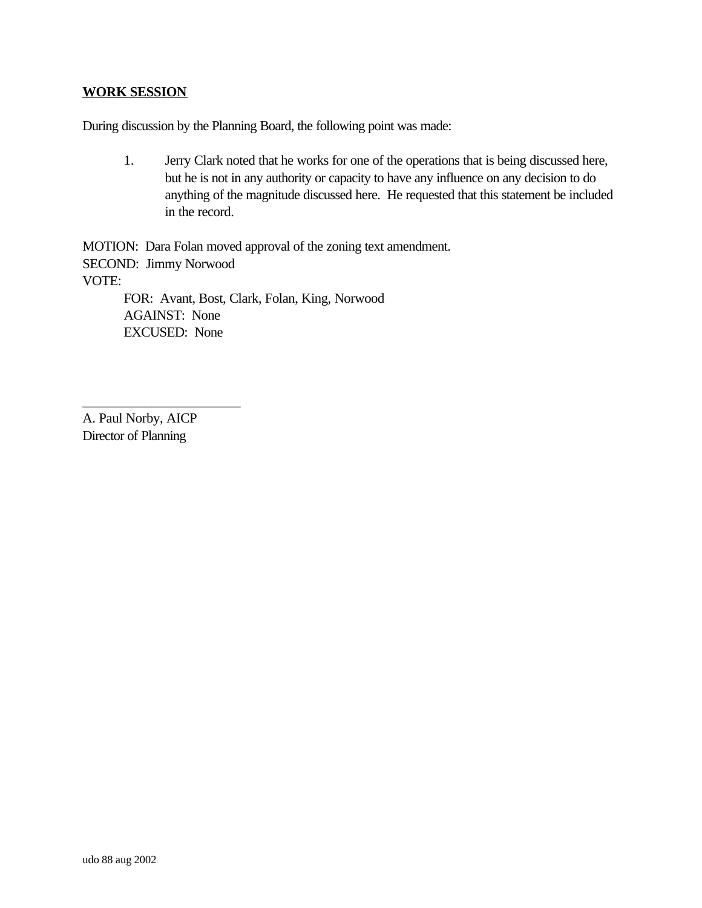## **WORK SESSION**

During discussion by the Planning Board, the following point was made:

1. Jerry Clark noted that he works for one of the operations that is being discussed here, but he is not in any authority or capacity to have any influence on any decision to do anything of the magnitude discussed here. He requested that this statement be included in the record.

MOTION: Dara Folan moved approval of the zoning text amendment. SECOND: Jimmy Norwood VOTE: FOR: Avant, Bost, Clark, Folan, King, Norwood AGAINST: None EXCUSED: None

A. Paul Norby, AICP Director of Planning

\_\_\_\_\_\_\_\_\_\_\_\_\_\_\_\_\_\_\_\_\_\_\_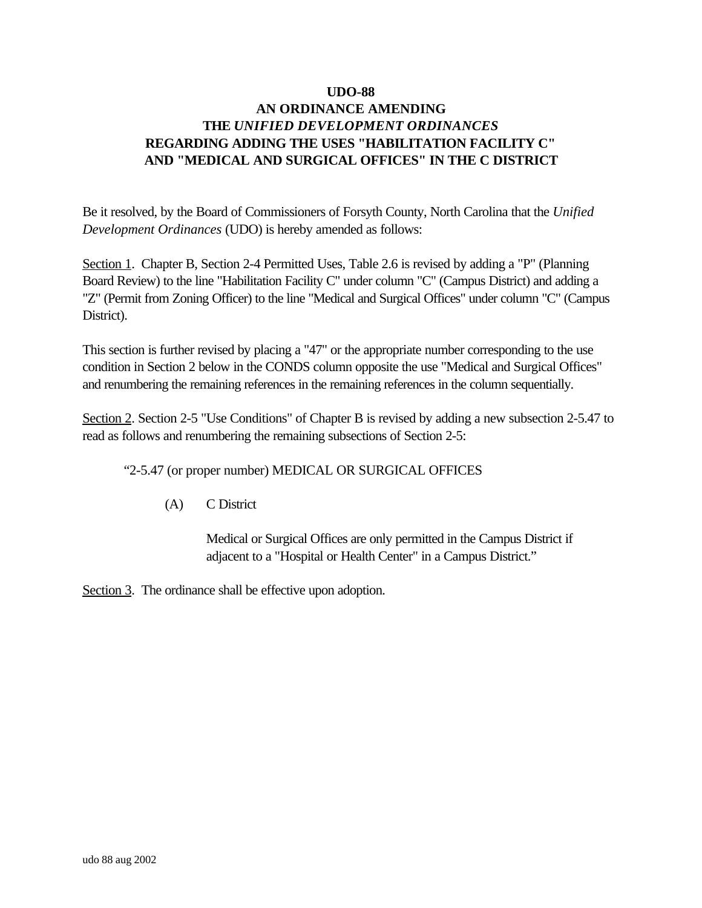## **UDO-88 AN ORDINANCE AMENDING THE** *UNIFIED DEVELOPMENT ORDINANCES* **REGARDING ADDING THE USES "HABILITATION FACILITY C" AND "MEDICAL AND SURGICAL OFFICES" IN THE C DISTRICT**

Be it resolved, by the Board of Commissioners of Forsyth County, North Carolina that the *Unified Development Ordinances* (UDO) is hereby amended as follows:

Section 1. Chapter B, Section 2-4 Permitted Uses, Table 2.6 is revised by adding a "P" (Planning Board Review) to the line "Habilitation Facility C" under column "C" (Campus District) and adding a "Z" (Permit from Zoning Officer) to the line "Medical and Surgical Offices" under column "C" (Campus District).

This section is further revised by placing a "47" or the appropriate number corresponding to the use condition in Section 2 below in the CONDS column opposite the use "Medical and Surgical Offices" and renumbering the remaining references in the remaining references in the column sequentially.

Section 2. Section 2-5 "Use Conditions" of Chapter B is revised by adding a new subsection 2-5.47 to read as follows and renumbering the remaining subsections of Section 2-5:

"2-5.47 (or proper number) MEDICAL OR SURGICAL OFFICES

(A) C District

Medical or Surgical Offices are only permitted in the Campus District if adjacent to a "Hospital or Health Center" in a Campus District."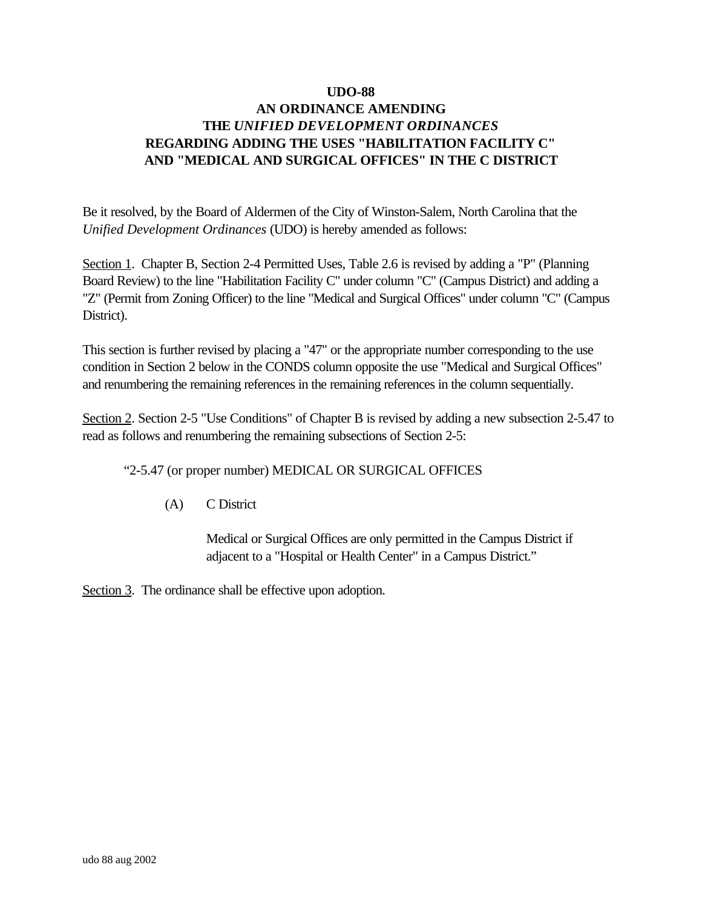## **AN ORDINANCE AMENDING THE** *UNIFIED DEVELOPMENT ORDINANCES* **REGARDING ADDING THE USES "HABILITATION FACILITY C" AND "MEDICAL AND SURGICAL OFFICES" IN THE C DISTRICT**

Be it resolved, by the Board of Aldermen of the City of Winston-Salem, North Carolina that the *Unified Development Ordinances* (UDO) is hereby amended as follows:

Section 1. Chapter B, Section 2-4 Permitted Uses, Table 2.6 is revised by adding a "P" (Planning Board Review) to the line "Habilitation Facility C" under column "C" (Campus District) and adding a "Z" (Permit from Zoning Officer) to the line "Medical and Surgical Offices" under column "C" (Campus District).

This section is further revised by placing a "47" or the appropriate number corresponding to the use condition in Section 2 below in the CONDS column opposite the use "Medical and Surgical Offices" and renumbering the remaining references in the remaining references in the column sequentially.

Section 2. Section 2-5 "Use Conditions" of Chapter B is revised by adding a new subsection 2-5.47 to read as follows and renumbering the remaining subsections of Section 2-5:

"2-5.47 (or proper number) MEDICAL OR SURGICAL OFFICES

(A) C District

Medical or Surgical Offices are only permitted in the Campus District if adjacent to a "Hospital or Health Center" in a Campus District."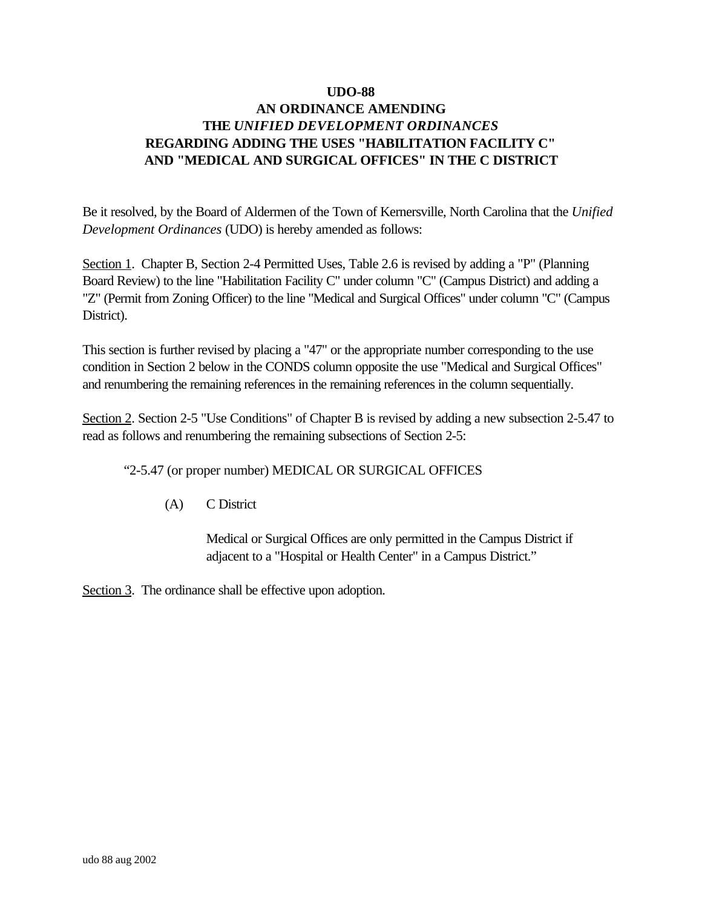## **AN ORDINANCE AMENDING THE** *UNIFIED DEVELOPMENT ORDINANCES* **REGARDING ADDING THE USES "HABILITATION FACILITY C" AND "MEDICAL AND SURGICAL OFFICES" IN THE C DISTRICT**

Be it resolved, by the Board of Aldermen of the Town of Kernersville, North Carolina that the *Unified Development Ordinances* (UDO) is hereby amended as follows:

Section 1. Chapter B, Section 2-4 Permitted Uses, Table 2.6 is revised by adding a "P" (Planning Board Review) to the line "Habilitation Facility C" under column "C" (Campus District) and adding a "Z" (Permit from Zoning Officer) to the line "Medical and Surgical Offices" under column "C" (Campus District).

This section is further revised by placing a "47" or the appropriate number corresponding to the use condition in Section 2 below in the CONDS column opposite the use "Medical and Surgical Offices" and renumbering the remaining references in the remaining references in the column sequentially.

Section 2. Section 2-5 "Use Conditions" of Chapter B is revised by adding a new subsection 2-5.47 to read as follows and renumbering the remaining subsections of Section 2-5:

"2-5.47 (or proper number) MEDICAL OR SURGICAL OFFICES

(A) C District

Medical or Surgical Offices are only permitted in the Campus District if adjacent to a "Hospital or Health Center" in a Campus District."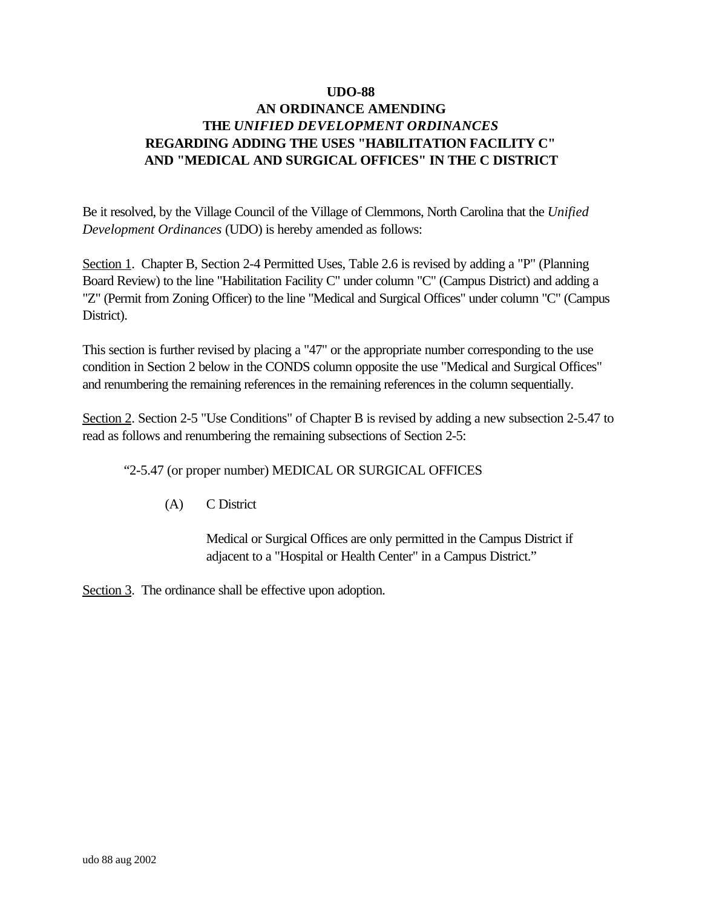## **AN ORDINANCE AMENDING THE** *UNIFIED DEVELOPMENT ORDINANCES* **REGARDING ADDING THE USES "HABILITATION FACILITY C" AND "MEDICAL AND SURGICAL OFFICES" IN THE C DISTRICT**

Be it resolved, by the Village Council of the Village of Clemmons, North Carolina that the *Unified Development Ordinances* (UDO) is hereby amended as follows:

Section 1. Chapter B, Section 2-4 Permitted Uses, Table 2.6 is revised by adding a "P" (Planning Board Review) to the line "Habilitation Facility C" under column "C" (Campus District) and adding a "Z" (Permit from Zoning Officer) to the line "Medical and Surgical Offices" under column "C" (Campus District).

This section is further revised by placing a "47" or the appropriate number corresponding to the use condition in Section 2 below in the CONDS column opposite the use "Medical and Surgical Offices" and renumbering the remaining references in the remaining references in the column sequentially.

Section 2. Section 2-5 "Use Conditions" of Chapter B is revised by adding a new subsection 2-5.47 to read as follows and renumbering the remaining subsections of Section 2-5:

"2-5.47 (or proper number) MEDICAL OR SURGICAL OFFICES

(A) C District

Medical or Surgical Offices are only permitted in the Campus District if adjacent to a "Hospital or Health Center" in a Campus District."